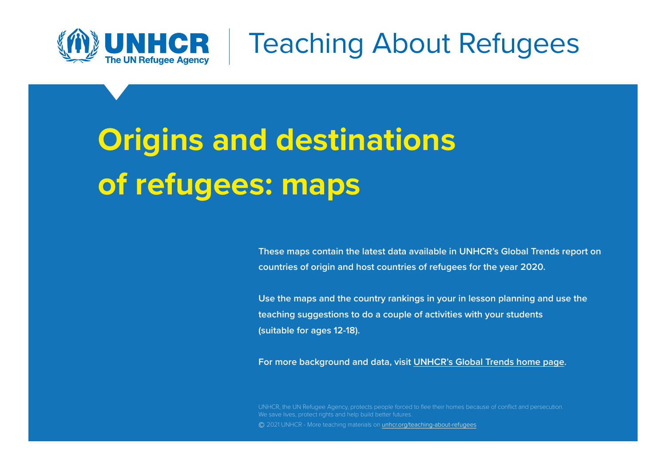

Teaching About Refugees

# **Origins and destinations of refugees: maps**

**These maps contain the latest data available in UNHCR's Global Trends report on countries of origin and host countries of refugees for the year 2020.** 

**Use the maps and the country rankings in your in lesson planning and use the teaching suggestions to do a couple of activities with your students (suitable for ages 12-18).** 

**For more background and data, visit [UNHCR's Global Trends home page](https://www.unhcr.org/flagship-reports/globaltrends/).**

UNHCR, the UN Refugee Agency, protects people forced to flee their homes because of conflict and persecution. We save lives, protect rights and help build better futures. **©** 2021 UNHCR - More teaching materials on [unhcr.org/teaching-about-refugees](http://www.unhcr.org/teaching-about-refugees.html)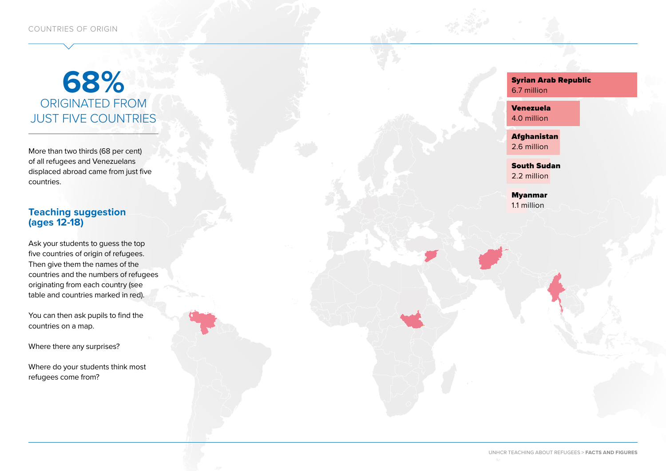## **68%**  ORIGINATED FROM JUST FIVE COUNTRIES

More than two thirds (68 per cent) of all refugees and Venezuelans displaced abroad came from just five countries.

## **Teaching suggestion (ages 12-18)**

Ask your students to guess the top five countries of origin of refugees. Then give them the names of the countries and the numbers of refugees originating from each country (see table and countries marked in red).

You can then ask pupils to find the countries on a map.

Where there any surprises?

Where do your students think most refugees come from?

Syrian Arab Republic 6.7 million

Venezuela 4.0 million

Afghanistan 2.6 million

South Sudan 2.2 million

Myanmar 1.1 million

UNHCR TEACHING ABOUT REFUGEES > **FACTS AND FIGURES**